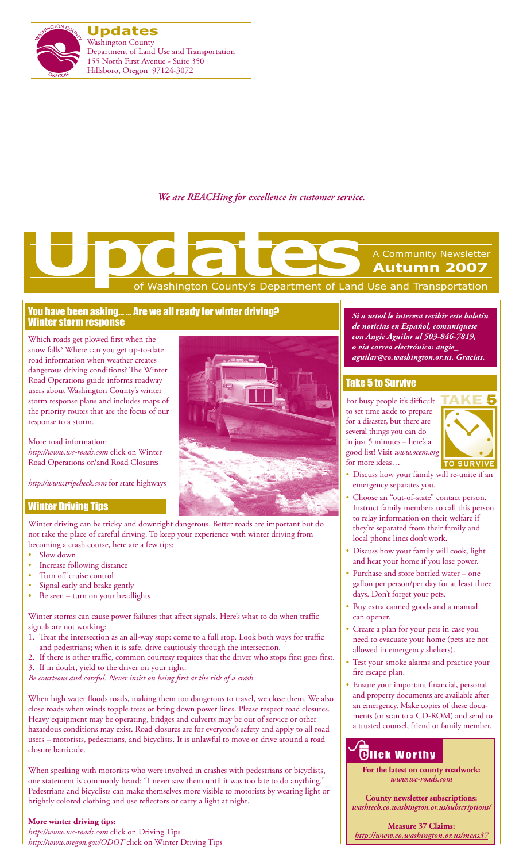

*We are REACHing for excellence in customer service.*

# Washington County's Department of Land Use and Transportation A Community Newsletter **Autumn 2007 Updates**<br>
The Control of Washington County's Department of Land

## You have been asking… … Are we all ready for winter driving? Winter storm response

Which roads get plowed first when the snow falls? Where can you get up-to-date road information when weather creates dangerous driving conditions? The Winter Road Operations guide informs roadway users about Washington County's winter storm response plans and includes maps of the priority routes that are the focus of our response to a storm.

More road information: *http://www.wc-roads.com* click on Winter Road Operations or/and Road Closures

*http://www.tripcheck.com* for state highways

# Winter Driving Tips

Winter driving can be tricky and downright dangerous. Better roads are important but do not take the place of careful driving. To keep your experience with winter driving from becoming a crash course, here are a few tips:

- Slow down
- Increase following distance
- Turn off cruise control
- Signal early and brake gently
- Be seen turn on your headlights

Winter storms can cause power failures that affect signals. Here's what to do when traffic signals are not working:

- 1. Treat the intersection as an all-way stop: come to a full stop. Look both ways for traffic and pedestrians; when it is safe, drive cautiously through the intersection.
- 2. If there is other traffic, common courtesy requires that the driver who stops first goes first. 3. If in doubt, yield to the driver on your right.
- *Be courteous and careful. Never insist on being first at the risk of a crash.*

When high water floods roads, making them too dangerous to travel, we close them. We also close roads when winds topple trees or bring down power lines. Please respect road closures. Heavy equipment may be operating, bridges and culverts may be out of service or other hazardous conditions may exist. Road closures are for everyone's safety and apply to all road users – motorists, pedestrians, and bicyclists. It is unlawful to move or drive around a road closure barricade.

When speaking with motorists who were involved in crashes with pedestrians or bicyclists, one statement is commonly heard: "I never saw them until it was too late to do anything." Pedestrians and bicyclists can make themselves more visible to motorists by wearing light or brightly colored clothing and use reflectors or carry a light at night.

#### **More winter driving tips:**

*http://www.wc-roads.com* click on Driving Tips *http://www.oregon.gov/ODOT* click on Winter Driving Tips



*Si a usted le interesa recibir este boletín de noticias en Español, comuníquese con Angie Aguilar al 503-846-7819, o via correo electrónico: angie\_ aguilar@co.washington.or.us. Gracias.*

## Take 5 to Survive

For busy people it's difficult to set time aside to prepare for a disaster, but there are several things you can do in just 5 minutes – here's a good list! Visit *www.ocem.org* for more ideas…



- Discuss how your family will re-unite if an emergency separates you.
- Choose an "out-of-state" contact person. Instruct family members to call this person to relay information on their welfare if they're separated from their family and local phone lines don't work.
- Discuss how your family will cook, light and heat your home if you lose power.
- Purchase and store bottled water one gallon per person/per day for at least three days. Don't forget your pets.
- Buy extra canned goods and a manual can opener.
- Create a plan for your pets in case you need to evacuate your home (pets are not allowed in emergency shelters).
- Test your smoke alarms and practice your fire escape plan.
- Ensure your important financial, personal and property documents are available after an emergency. Make copies of these documents (or scan to a CD-ROM) and send to a trusted counsel, friend or family member.

# **Tick Worthy**

**For the latest on county roadwork:** *www.wc-roads.com*

**County newsletter subscriptions:**  *washtech.co.washington.or.us/subscriptions/*

**Measure 37 Claims:** *http://www.co.washington.or.us/meas37*